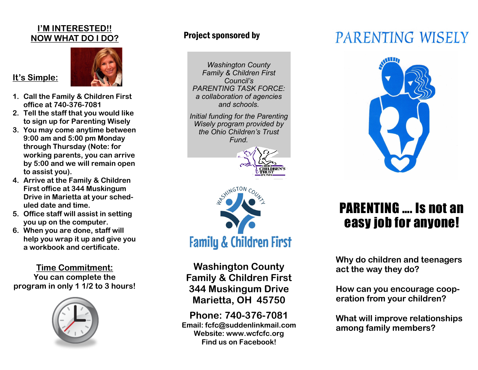#### **I'M INTERESTED!! NOW WHAT DO I DO?**



**1. Call the Family & Children First office at 740-376-7081**

**It's Simple:**

- **2. Tell the staff that you would like to sign up for Parenting Wisely**
- **3. You may come anytime between 9:00 am and 5:00 pm Monday through Thursday (Note: for working parents, you can arrive by 5:00 and we will remain open to assist you).**
- **4. Arrive at the Family & Children First office at 344 Muskingum Drive in Marietta at your scheduled date and time.**
- **5. Office staff will assist in setting you up on the computer.**
- **6. When you are done, staff will help you wrap it up and give you a workbook and certificate.**

**Time Commitment: You can complete the program in only 1 1/2 to 3 hours!**



#### Project sponsored by

*Washington County Family & Children First Council's PARENTING TASK FORCE: a collaboration of agencies and schools.* 

*Initial funding for the Parenting Wisely program provided by the Ohio Children's Trust Fund.*





**Washington County Family & Children First 344 Muskingum Drive Marietta, OH 45750**

**Phone: 740-376-7081 Email: fcfc@suddenlinkmail.com Website: www.wcfcfc.org Find us on Facebook!**

# PARENTING WISELY



### PARENTING …. Is not an easy job for anyone!

**Why do children and teenagers act the way they do?**

**How can you encourage cooperation from your children?** 

**What will improve relationships among family members?**